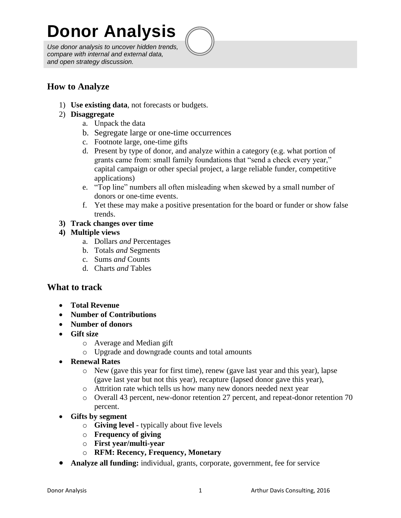# **Donor Analysis**

*Use donor analysis to uncover hidden trends, compare with internal and external data, and open strategy discussion.*



1) **Use existing data**, not forecasts or budgets.

### 2) **Disaggregate**

- a. Unpack the data
- b. Segregate large or one-time occurrences
- c. Footnote large, one-time gifts
- d. Present by type of donor, and analyze within a category (e.g. what portion of grants came from: small family foundations that "send a check every year," capital campaign or other special project, a large reliable funder, competitive applications)
- e. "Top line" numbers all often misleading when skewed by a small number of donors or one-time events.
- f. Yet these may make a positive presentation for the board or funder or show false trends.

### **3) Track changes over time**

### **4) Multiple views**

- a. Dollars *and* Percentages
- b. Totals *and* Segments
- c. Sums *and* Counts
- d. Charts *and* Tables

## **What to track**

- **Total Revenue**
- **Number of Contributions**
- **Number of donors**
- **Gift size**
	- o Average and Median gift
		- o Upgrade and downgrade counts and total amounts
- **Renewal Rates**
	- o New (gave this year for first time), renew (gave last year and this year), lapse (gave last year but not this year), recapture (lapsed donor gave this year),
	- o Attrition rate which tells us how many new donors needed next year
	- o Overall 43 percent, new-donor retention 27 percent, and repeat-donor retention 70 percent.
- **Gifts by segment**
	- o **Giving level -** typically about five levels
	- o **Frequency of giving**
	- o **First year/multi-year**
	- o **RFM: Recency, Frequency, Monetary**
- **Analyze all funding:** individual, grants, corporate, government, fee for service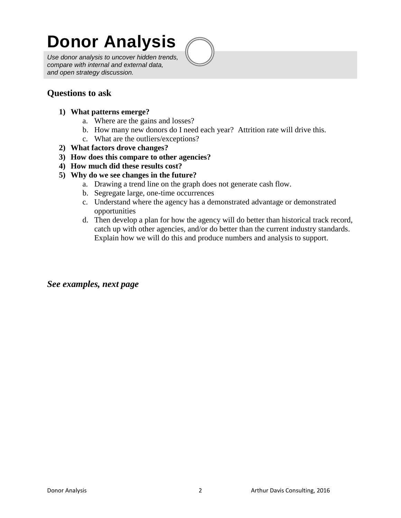# **Donor Analysis**

*Use donor analysis to uncover hidden trends, compare with internal and external data, and open strategy discussion.*



## **Questions to ask**

- **1) What patterns emerge?**
	- a. Where are the gains and losses?
	- b. How many new donors do I need each year? Attrition rate will drive this.
	- c. What are the outliers/exceptions?
- **2) What factors drove changes?**
- **3) How does this compare to other agencies?**
- **4) How much did these results cost?**
- **5) Why do we see changes in the future?**
	- a. Drawing a trend line on the graph does not generate cash flow.
	- b. Segregate large, one-time occurrences
	- c. Understand where the agency has a demonstrated advantage or demonstrated opportunities
	- d. Then develop a plan for how the agency will do better than historical track record, catch up with other agencies, and/or do better than the current industry standards. Explain how we will do this and produce numbers and analysis to support.

*See examples, next page*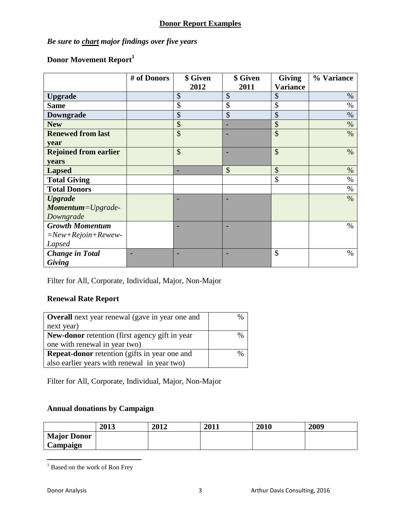## **Donor Report Examples**

## *Be sure to chart major findings over five years*

## **Donor Movement Report<sup>1</sup>**

|                              | # of Donors | \$ Given | \$ Given | <b>Giving</b>   | % Variance |
|------------------------------|-------------|----------|----------|-----------------|------------|
|                              |             | 2012     | 2011     | <b>Variance</b> |            |
| <b>Upgrade</b>               |             | \$       | \$       | \$              | $\%$       |
| <b>Same</b>                  |             | \$       | \$       | \$              | %          |
| Downgrade                    |             | \$       | \$       | \$              | $\%$       |
| <b>New</b>                   |             | \$       |          | \$              | $\%$       |
| <b>Renewed from last</b>     |             | \$       |          | \$              | $\%$       |
| year                         |             |          |          |                 |            |
| <b>Rejoined from earlier</b> |             | \$       |          | \$              | $\%$       |
| years                        |             |          |          |                 |            |
| <b>Lapsed</b>                |             |          | \$       | \$              | $\%$       |
| <b>Total Giving</b>          |             |          |          | \$              | $\%$       |
| <b>Total Donors</b>          |             |          |          |                 | $\%$       |
| <b>Upgrade</b>               |             |          |          |                 | $\%$       |
| Momentum=Upgrade-            |             |          |          |                 |            |
| Downgrade                    |             |          |          |                 |            |
| <b>Growth Momentum</b>       |             |          |          |                 | $\%$       |
| $=New+Rejoin+Rewew-$         |             |          |          |                 |            |
| Lapsed                       |             |          |          |                 |            |
| <b>Change</b> in Total       |             |          |          | \$              | $\%$       |
| Giving                       |             |          |          |                 |            |

Filter for All, Corporate, Individual, Major, Non-Major

## **Renewal Rate Report**

| <b>Overall</b> next year renewal (gave in year one and | $\frac{0}{0}$ |
|--------------------------------------------------------|---------------|
| next year)                                             |               |
| <b>New-donor</b> retention (first agency gift in year) | $\frac{0}{0}$ |
| one with renewal in year two)                          |               |
| <b>Repeat-donor</b> retention (gifts in year one and   | %             |
| also earlier years with renewal in year two)           |               |

Filter for All, Corporate, Individual, Major, Non-Major

## **Annual donations by Campaign**

|                    | 2013 | 2012 | 2011 | 2010 | 2009 |
|--------------------|------|------|------|------|------|
| <b>Major Donor</b> |      |      |      |      |      |
| Campaign           |      |      |      |      |      |

<sup>&</sup>lt;sup>1</sup> Based on the work of Ron Frey

 $\overline{a}$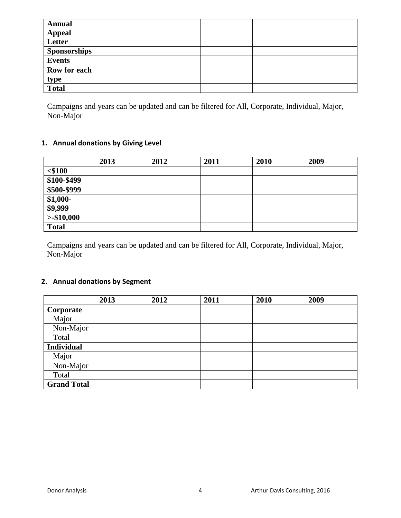| <b>Annual</b><br><b>Appeal</b><br>Letter |  |  |  |
|------------------------------------------|--|--|--|
| <b>Sponsorships</b>                      |  |  |  |
| <b>Events</b>                            |  |  |  |
| Row for each                             |  |  |  |
| type                                     |  |  |  |
| <b>Total</b>                             |  |  |  |

Campaigns and years can be updated and can be filtered for All, Corporate, Individual, Major, Non-Major

### **1. Annual donations by Giving Level**

|              | 2013 | 2012 | 2011 | 2010 | 2009 |
|--------------|------|------|------|------|------|
| $<$ \$100    |      |      |      |      |      |
| \$100-\$499  |      |      |      |      |      |
| \$500-\$999  |      |      |      |      |      |
| $$1,000-$    |      |      |      |      |      |
| \$9,999      |      |      |      |      |      |
| $>$ \$10,000 |      |      |      |      |      |
| <b>Total</b> |      |      |      |      |      |

Campaigns and years can be updated and can be filtered for All, Corporate, Individual, Major, Non-Major

### **2. Annual donations by Segment**

|                    | 2013 | 2012 | 2011 | 2010 | 2009 |
|--------------------|------|------|------|------|------|
| Corporate          |      |      |      |      |      |
| Major              |      |      |      |      |      |
| Non-Major          |      |      |      |      |      |
| Total              |      |      |      |      |      |
| <b>Individual</b>  |      |      |      |      |      |
| Major              |      |      |      |      |      |
| Non-Major          |      |      |      |      |      |
| Total              |      |      |      |      |      |
| <b>Grand Total</b> |      |      |      |      |      |